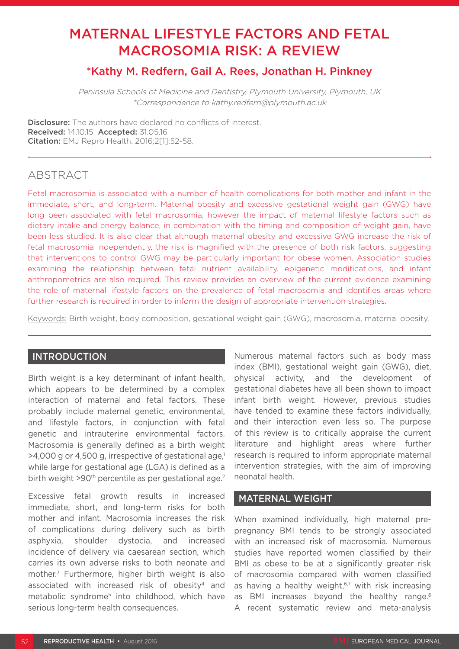# MATERNAL LIFESTYLE FACTORS AND FETAL MACROSOMIA RISK: A REVIEW

# \*Kathy M. Redfern, Gail A. Rees, Jonathan H. Pinkney

Peninsula Schools of Medicine and Dentistry, Plymouth University, Plymouth, UK \*Correspondence to kathy.redfern@plymouth.ac.uk

Disclosure: The authors have declared no conflicts of interest. Received: 14.10.15 Accepted: 31.05.16 Citation: EMJ Repro Health. 2016;2[1]:52-58.

# ABSTRACT

Fetal macrosomia is associated with a number of health complications for both mother and infant in the immediate, short, and long-term. Maternal obesity and excessive gestational weight gain (GWG) have long been associated with fetal macrosomia, however the impact of maternal lifestyle factors such as dietary intake and energy balance, in combination with the timing and composition of weight gain, have been less studied. It is also clear that although maternal obesity and excessive GWG increase the risk of fetal macrosomia independently, the risk is magnified with the presence of both risk factors, suggesting that interventions to control GWG may be particularly important for obese women. Association studies examining the relationship between fetal nutrient availability, epigenetic modifications, and infant anthropometrics are also required. This review provides an overview of the current evidence examining the role of maternal lifestyle factors on the prevalence of fetal macrosomia and identifies areas where further research is required in order to inform the design of appropriate intervention strategies.

Keywords: Birth weight, body composition, gestational weight gain (GWG), macrosomia, maternal obesity.

#### INTRODUCTION

Birth weight is a key determinant of infant health, which appears to be determined by a complex interaction of maternal and fetal factors. These probably include maternal genetic, environmental, and lifestyle factors, in conjunction with fetal genetic and intrauterine environmental factors. Macrosomia is generally defined as a birth weight  $>4,000$  g or 4,500 g, irrespective of gestational age,<sup>1</sup> while large for gestational age (LGA) is defined as a birth weight >90<sup>th</sup> percentile as per gestational age.<sup>2</sup>

Excessive fetal growth results in increased immediate, short, and long-term risks for both mother and infant. Macrosomia increases the risk of complications during delivery such as birth asphyxia, shoulder dystocia, and increased incidence of delivery via caesarean section, which carries its own adverse risks to both neonate and mother.3 Furthermore, higher birth weight is also associated with increased risk of obesity<sup>4</sup> and metabolic syndrome<sup>5</sup> into childhood, which have serious long-term health consequences.

Numerous maternal factors such as body mass index (BMI), gestational weight gain (GWG), diet, physical activity, and the development of gestational diabetes have all been shown to impact infant birth weight. However, previous studies have tended to examine these factors individually, and their interaction even less so. The purpose of this review is to critically appraise the current literature and highlight areas where further research is required to inform appropriate maternal intervention strategies, with the aim of improving neonatal health.

### MATERNAL WEIGHT

When examined individually, high maternal prepregnancy BMI tends to be strongly associated with an increased risk of macrosomia. Numerous studies have reported women classified by their BMI as obese to be at a significantly greater risk of macrosomia compared with women classified as having a healthy weight, $67$  with risk increasing as BMI increases beyond the healthy range.<sup>8</sup> A recent systematic review and meta-analysis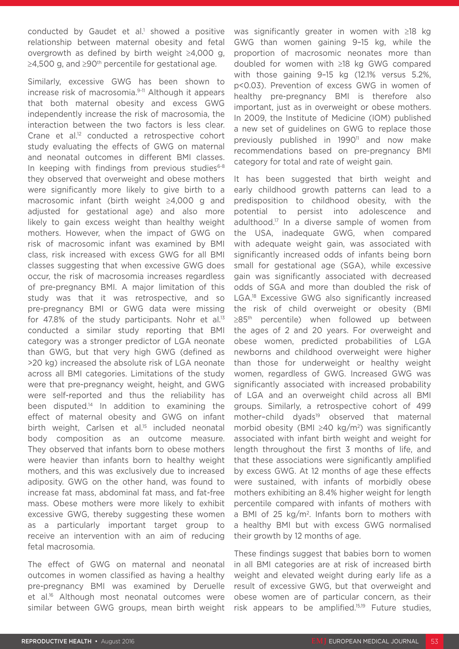conducted by Gaudet et al.<sup>1</sup> showed a positive relationship between maternal obesity and fetal overgrowth as defined by birth weight ≥4,000 g,  $≥4,500$  g, and  $≥90<sup>th</sup>$  percentile for gestational age.

Similarly, excessive GWG has been shown to increase risk of macrosomia.9-11 Although it appears that both maternal obesity and excess GWG independently increase the risk of macrosomia, the interaction between the two factors is less clear. Crane et al.<sup>12</sup> conducted a retrospective cohort study evaluating the effects of GWG on maternal and neonatal outcomes in different BMI classes. In keeping with findings from previous studies $6-8$ they observed that overweight and obese mothers were significantly more likely to give birth to a macrosomic infant (birth weight ≥4,000 g and adjusted for gestational age) and also more likely to gain excess weight than healthy weight mothers. However, when the impact of GWG on risk of macrosomic infant was examined by BMI class, risk increased with excess GWG for all BMI classes suggesting that when excessive GWG does occur, the risk of macrosomia increases regardless of pre-pregnancy BMI. A major limitation of this study was that it was retrospective, and so pre-pregnancy BMI or GWG data were missing for 47.8% of the study participants. Nohr et al. $13$ conducted a similar study reporting that BMI category was a stronger predictor of LGA neonate than GWG, but that very high GWG (defined as >20 kg) increased the absolute risk of LGA neonate across all BMI categories. Limitations of the study were that pre-pregnancy weight, height, and GWG were self-reported and thus the reliability has been disputed.<sup>14</sup> In addition to examining the effect of maternal obesity and GWG on infant birth weight. Carlsen et al.<sup>15</sup> included neonatal body composition as an outcome measure. They observed that infants born to obese mothers were heavier than infants born to healthy weight mothers, and this was exclusively due to increased adiposity. GWG on the other hand, was found to increase fat mass, abdominal fat mass, and fat-free mass. Obese mothers were more likely to exhibit excessive GWG, thereby suggesting these women as a particularly important target group to receive an intervention with an aim of reducing fetal macrosomia.

The effect of GWG on maternal and neonatal outcomes in women classified as having a healthy pre-pregnancy BMI was examined by Deruelle et al.16 Although most neonatal outcomes were similar between GWG groups, mean birth weight was significantly greater in women with ≥18 kg GWG than women gaining 9–15 kg, while the proportion of macrosomic neonates more than doubled for women with ≥18 kg GWG compared with those gaining 9–15 kg (12.1% versus 5.2%, p<0.03). Prevention of excess GWG in women of healthy pre-pregnancy BMI is therefore also important, just as in overweight or obese mothers. In 2009, the Institute of Medicine (IOM) published a new set of guidelines on GWG to replace those previously published in 1990<sup>11</sup> and now make recommendations based on pre-pregnancy BMI category for total and rate of weight gain.

It has been suggested that birth weight and early childhood growth patterns can lead to a predisposition to childhood obesity, with the potential to persist into adolescence and adulthood.17 In a diverse sample of women from the USA, inadequate GWG, when compared with adequate weight gain, was associated with significantly increased odds of infants being born small for gestational age (SGA), while excessive gain was significantly associated with decreased odds of SGA and more than doubled the risk of LGA.<sup>18</sup> Excessive GWG also significantly increased the risk of child overweight or obesity (BMI ≥85<sup>th</sup> percentile) when followed up between the ages of 2 and 20 years. For overweight and obese women, predicted probabilities of LGA newborns and childhood overweight were higher than those for underweight or healthy weight women, regardless of GWG. Increased GWG was significantly associated with increased probability of LGA and an overweight child across all BMI groups. Similarly, a retrospective cohort of 499 mother-child dyads<sup>19</sup> observed that maternal morbid obesity (BMI ≥40 kg/m2) was significantly associated with infant birth weight and weight for length throughout the first 3 months of life, and that these associations were significantly amplified by excess GWG. At 12 months of age these effects were sustained, with infants of morbidly obese mothers exhibiting an 8.4% higher weight for length percentile compared with infants of mothers with a BMI of 25 kg/m2. Infants born to mothers with a healthy BMI but with excess GWG normalised their growth by 12 months of age.

These findings suggest that babies born to women in all BMI categories are at risk of increased birth weight and elevated weight during early life as a result of excessive GWG, but that overweight and obese women are of particular concern, as their risk appears to be amplified.15,19 Future studies,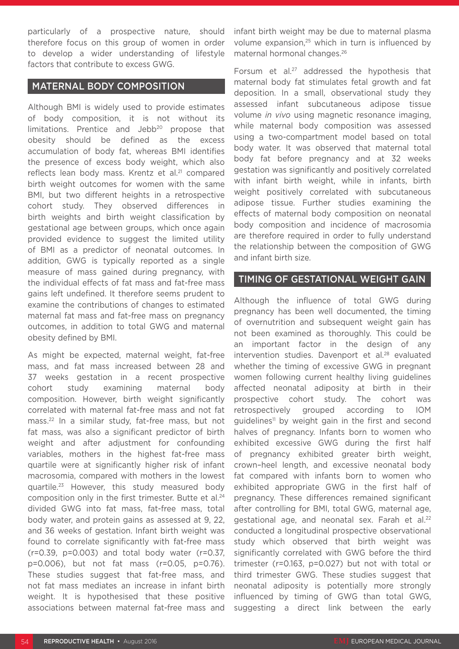particularly of a prospective nature, should therefore focus on this group of women in order to develop a wider understanding of lifestyle factors that contribute to excess GWG.

#### MATERNAL BODY COMPOSITION

Although BMI is widely used to provide estimates of body composition, it is not without its limitations. Prentice and Jebb<sup>20</sup> propose that obesity should be defined as the excess accumulation of body fat, whereas BMI identifies the presence of excess body weight, which also reflects lean body mass. Krentz et al.<sup>21</sup> compared birth weight outcomes for women with the same BMI, but two different heights in a retrospective cohort study. They observed differences in birth weights and birth weight classification by gestational age between groups, which once again provided evidence to suggest the limited utility of BMI as a predictor of neonatal outcomes. In addition, GWG is typically reported as a single measure of mass gained during pregnancy, with the individual effects of fat mass and fat-free mass gains left undefined. It therefore seems prudent to examine the contributions of changes to estimated maternal fat mass and fat-free mass on pregnancy outcomes, in addition to total GWG and maternal obesity defined by BMI.

As might be expected, maternal weight, fat-free mass, and fat mass increased between 28 and 37 weeks gestation in a recent prospective cohort study examining maternal body composition. However, birth weight significantly correlated with maternal fat-free mass and not fat mass.22 In a similar study, fat-free mass, but not fat mass, was also a significant predictor of birth weight and after adjustment for confounding variables, mothers in the highest fat-free mass quartile were at significantly higher risk of infant macrosomia, compared with mothers in the lowest quartile.23 However, this study measured body composition only in the first trimester. Butte et al.<sup>24</sup> divided GWG into fat mass, fat-free mass, total body water, and protein gains as assessed at 9, 22, and 36 weeks of gestation. Infant birth weight was found to correlate significantly with fat-free mass (r=0.39, p=0.003) and total body water (r=0.37, p=0.006), but not fat mass (r=0.05, p=0.76). These studies suggest that fat-free mass, and not fat mass mediates an increase in infant birth weight. It is hypothesised that these positive associations between maternal fat-free mass and

infant birth weight may be due to maternal plasma volume expansion,<sup>25</sup> which in turn is influenced by maternal hormonal changes.26

Forsum et al.<sup>27</sup> addressed the hypothesis that maternal body fat stimulates fetal growth and fat deposition. In a small, observational study they assessed infant subcutaneous adipose tissue volume *in vivo* using magnetic resonance imaging, while maternal body composition was assessed using a two-compartment model based on total body water. It was observed that maternal total body fat before pregnancy and at 32 weeks gestation was significantly and positively correlated with infant birth weight, while in infants, birth weight positively correlated with subcutaneous adipose tissue. Further studies examining the effects of maternal body composition on neonatal body composition and incidence of macrosomia are therefore required in order to fully understand the relationship between the composition of GWG and infant birth size.

#### TIMING OF GESTATIONAL WEIGHT GAIN

Although the influence of total GWG during pregnancy has been well documented, the timing of overnutrition and subsequent weight gain has not been examined as thoroughly. This could be an important factor in the design of any intervention studies. Davenport et al.<sup>28</sup> evaluated whether the timing of excessive GWG in pregnant women following current healthy living guidelines affected neonatal adiposity at birth in their prospective cohort study. The cohort was retrospectively grouped according to IOM guidelines<sup>11</sup> by weight gain in the first and second halves of pregnancy. Infants born to women who exhibited excessive GWG during the first half of pregnancy exhibited greater birth weight, crown–heel length, and excessive neonatal body fat compared with infants born to women who exhibited appropriate GWG in the first half of pregnancy. These differences remained significant after controlling for BMI, total GWG, maternal age, gestational age, and neonatal sex. Farah et al.<sup>22</sup> conducted a longitudinal prospective observational study which observed that birth weight was significantly correlated with GWG before the third trimester (r=0.163, p=0.027) but not with total or third trimester GWG. These studies suggest that neonatal adiposity is potentially more strongly influenced by timing of GWG than total GWG, suggesting a direct link between the early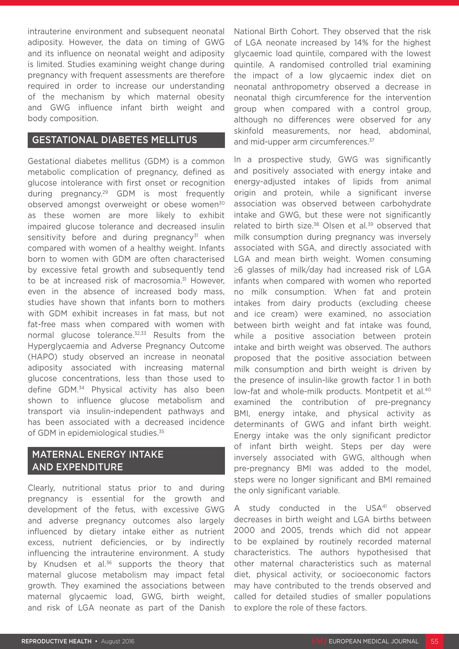intrauterine environment and subsequent neonatal adiposity. However, the data on timing of GWG and its influence on neonatal weight and adiposity is limited. Studies examining weight change during pregnancy with frequent assessments are therefore required in order to increase our understanding of the mechanism by which maternal obesity and GWG influence infant birth weight and body composition.

### GESTATIONAL DIABETES MELLITUS

Gestational diabetes mellitus (GDM) is a common metabolic complication of pregnancy, defined as glucose intolerance with first onset or recognition during pregnancy.29 GDM is most frequently observed amongst overweight or obese women<sup>30</sup> as these women are more likely to exhibit impaired glucose tolerance and decreased insulin sensitivity before and during pregnancy $31$  when compared with women of a healthy weight. Infants born to women with GDM are often characterised by excessive fetal growth and subsequently tend to be at increased risk of macrosomia.<sup>31</sup> However, even in the absence of increased body mass, studies have shown that infants born to mothers with GDM exhibit increases in fat mass, but not fat-free mass when compared with women with normal glucose tolerance.<sup>32,33</sup> Results from the Hyperglycaemia and Adverse Pregnancy Outcome (HAPO) study observed an increase in neonatal adiposity associated with increasing maternal glucose concentrations, less than those used to define GDM.34 Physical activity has also been shown to influence glucose metabolism and transport via insulin-independent pathways and has been associated with a decreased incidence of GDM in epidemiological studies.<sup>35</sup>

# MATERNAL ENERGY INTAKE AND EXPENDITURE

Clearly, nutritional status prior to and during pregnancy is essential for the growth and development of the fetus, with excessive GWG and adverse pregnancy outcomes also largely influenced by dietary intake either as nutrient excess, nutrient deficiencies, or by indirectly influencing the intrauterine environment. A study by Knudsen et al.<sup>36</sup> supports the theory that maternal glucose metabolism may impact fetal growth. They examined the associations between maternal glycaemic load, GWG, birth weight, and risk of LGA neonate as part of the Danish National Birth Cohort. They observed that the risk of LGA neonate increased by 14% for the highest glycaemic load quintile, compared with the lowest quintile. A randomised controlled trial examining the impact of a low glycaemic index diet on neonatal anthropometry observed a decrease in neonatal thigh circumference for the intervention group when compared with a control group, although no differences were observed for any skinfold measurements, nor head, abdominal, and mid-upper arm circumferences.<sup>37</sup>

In a prospective study, GWG was significantly and positively associated with energy intake and energy-adjusted intakes of lipids from animal origin and protein, while a significant inverse association was observed between carbohydrate intake and GWG, but these were not significantly related to birth size. $38$  Olsen et al. $39$  observed that milk consumption during pregnancy was inversely associated with SGA, and directly associated with LGA and mean birth weight. Women consuming ≥6 glasses of milk/day had increased risk of LGA infants when compared with women who reported no milk consumption. When fat and protein intakes from dairy products (excluding cheese and ice cream) were examined, no association between birth weight and fat intake was found, while a positive association between protein intake and birth weight was observed. The authors proposed that the positive association between milk consumption and birth weight is driven by the presence of insulin-like growth factor 1 in both low-fat and whole-milk products. Montpetit et al.<sup>40</sup> examined the contribution of pre-pregnancy BMI, energy intake, and physical activity as determinants of GWG and infant birth weight. Energy intake was the only significant predictor of infant birth weight. Steps per day were inversely associated with GWG, although when pre-pregnancy BMI was added to the model, steps were no longer significant and BMI remained the only significant variable.

A study conducted in the USA<sup>41</sup> observed decreases in birth weight and LGA births between 2000 and 2005, trends which did not appear to be explained by routinely recorded maternal characteristics. The authors hypothesised that other maternal characteristics such as maternal diet, physical activity, or socioeconomic factors may have contributed to the trends observed and called for detailed studies of smaller populations to explore the role of these factors.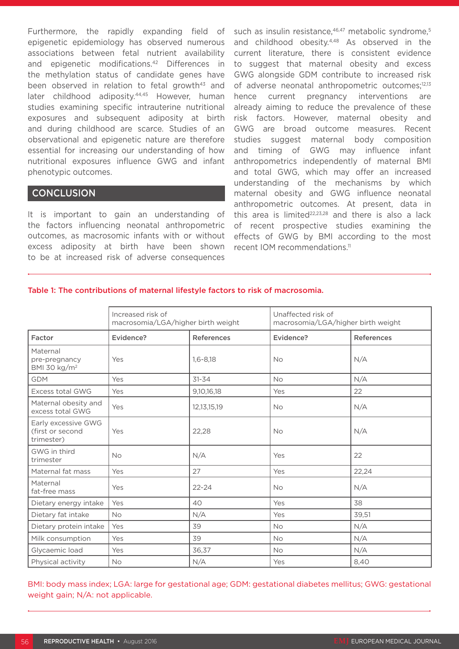Furthermore, the rapidly expanding field of epigenetic epidemiology has observed numerous associations between fetal nutrient availability and epigenetic modifications.<sup>42</sup> Differences in the methylation status of candidate genes have been observed in relation to fetal growth<sup>43</sup> and later childhood adiposity.<sup>44,45</sup> However, human studies examining specific intrauterine nutritional exposures and subsequent adiposity at birth and during childhood are scarce. Studies of an observational and epigenetic nature are therefore essential for increasing our understanding of how nutritional exposures influence GWG and infant phenotypic outcomes.

#### **CONCLUSION**

It is important to gain an understanding of the factors influencing neonatal anthropometric outcomes, as macrosomic infants with or without excess adiposity at birth have been shown to be at increased risk of adverse consequences

such as insulin resistance,<sup>46,47</sup> metabolic syndrome,<sup>5</sup> and childhood obesity.<sup>4,48</sup> As observed in the current literature, there is consistent evidence to suggest that maternal obesity and excess GWG alongside GDM contribute to increased risk of adverse neonatal anthropometric outcomes;12,13 hence current pregnancy interventions are already aiming to reduce the prevalence of these risk factors. However, maternal obesity and GWG are broad outcome measures. Recent studies suggest maternal body composition and timing of GWG may influence infant anthropometrics independently of maternal BMI and total GWG, which may offer an increased understanding of the mechanisms by which maternal obesity and GWG influence neonatal anthropometric outcomes. At present, data in this area is limited $22,23,28$  and there is also a lack of recent prospective studies examining the effects of GWG by BMI according to the most recent IOM recommendations.<sup>11</sup>

|                                                       | Increased risk of<br>macrosomia/LGA/higher birth weight |                   | Unaffected risk of<br>macrosomia/LGA/higher birth weight |                   |
|-------------------------------------------------------|---------------------------------------------------------|-------------------|----------------------------------------------------------|-------------------|
| Factor                                                | Evidence?                                               | <b>References</b> | Evidence?                                                | <b>References</b> |
| Maternal<br>pre-pregnancy<br>BMI 30 $\text{kg/m}^2$   | Yes                                                     | $1,6 - 8,18$      | <b>No</b>                                                | N/A               |
| <b>GDM</b>                                            | Yes                                                     | $31 - 34$         | <b>No</b>                                                | N/A               |
| Excess total GWG                                      | Yes                                                     | 9,10,16,18        | Yes                                                      | 22                |
| Maternal obesity and<br>excess total GWG              | Yes                                                     | 12, 13, 15, 19    | <b>No</b>                                                | N/A               |
| Early excessive GWG<br>(first or second<br>trimester) | Yes                                                     | 22,28             | <b>No</b>                                                | N/A               |
| GWG in third<br>trimester                             | <b>No</b>                                               | N/A               | Yes                                                      | 22                |
| Maternal fat mass                                     | Yes                                                     | 27                | Yes                                                      | 22,24             |
| Maternal<br>fat-free mass                             | Yes                                                     | $22 - 24$         | <b>No</b>                                                | N/A               |
| Dietary energy intake                                 | Yes                                                     | 40                | Yes                                                      | 38                |
| Dietary fat intake                                    | <b>No</b>                                               | N/A               | Yes                                                      | 39,51             |
| Dietary protein intake                                | Yes                                                     | 39                | <b>No</b>                                                | N/A               |
| Milk consumption                                      | Yes                                                     | 39                | <b>No</b>                                                | N/A               |
| Glycaemic load                                        | Yes                                                     | 36,37             | <b>No</b>                                                | N/A               |
| Physical activity                                     | <b>No</b>                                               | N/A               | Yes                                                      | 8,40              |

#### Table 1: The contributions of maternal lifestyle factors to risk of macrosomia.

BMI: body mass index; LGA: large for gestational age; GDM: gestational diabetes mellitus; GWG: gestational weight gain; N/A: not applicable.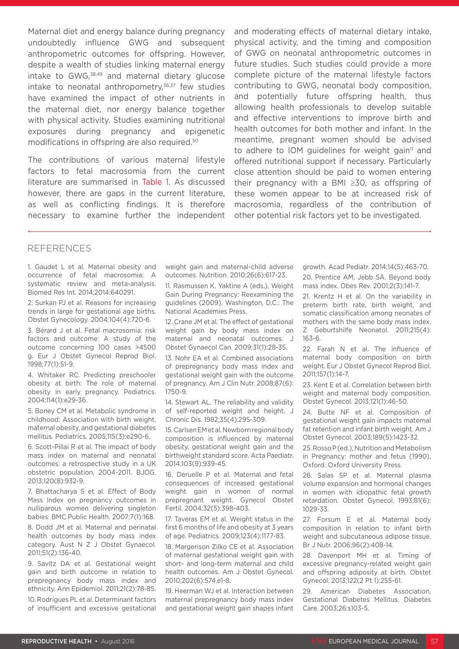Maternal diet and energy balance during pregnancy undoubtedly influence GWG and subsequent anthropometric outcomes for offspring. However, despite a wealth of studies linking maternal energy intake to GWG.<sup>38,49</sup> and maternal dietary glucose intake to neonatal anthropometry, $36,37$  few studies have examined the impact of other nutrients in the maternal diet, nor energy balance together with physical activity. Studies examining nutritional exposures during pregnancy and epigenetic modifications in offspring are also required.50

The contributions of various maternal lifestyle factors to fetal macrosomia from the current literature are summarised in Table 1. As discussed however, there are gaps in the current literature, as well as conflicting findings. It is therefore necessary to examine further the independent and moderating effects of maternal dietary intake, physical activity, and the timing and composition of GWG on neonatal anthropometric outcomes in future studies. Such studies could provide a more complete picture of the maternal lifestyle factors contributing to GWG, neonatal body composition, and potentially future offspring health, thus allowing health professionals to develop suitable and effective interventions to improve birth and health outcomes for both mother and infant. In the meantime, pregnant women should be advised to adhere to IOM guidelines for weight gain<sup>11</sup> and offered nutritional support if necessary. Particularly close attention should be paid to women entering their pregnancy with a BMI ≥30, as offspring of these women appear to be at increased risk of macrosomia, regardless of the contribution of other potential risk factors yet to be investigated.

#### REFERENCES

1. Gaudet L et al. Maternal obesity and occurrence of fetal macrosomia: A systematic review and meta-analysis. Biomed Res Int. 2014;2014:640291.

2. Surkan PJ et al. Reasons for increasing trends in large for gestational age births. Obstet Gynecology. 2004;104(4):720-6.

3. Bérard J et al. Fetal macrosomia: risk factors and outcome: A study of the outcome concerning 100 cases >4500 g. Eur J Obstet Gynecol Reprod Biol. 1998;77(1):51-9.

4. Whitaker RC. Predicting preschooler obesity at birth: The role of maternal obesity in early pregnancy. Pediatrics. 2004;114(1):e29-36.

5. Boney CM et al. Metabolic syndrome in childhood: Association with birth weight, maternal obesity, and gestational diabetes mellitus. Pediatrics. 2005;115(3):e290-6.

6. Scott-Pillai R et al. The impact of body mass index on maternal and neonatal outcomes: a retrospective study in a UK obstetric population, 2004-2011. BJOG. 2013;120(8):932-9.

7. Bhattacharya S et al. Effect of Body Mass Index on pregnancy outcomes in nulliparous women delivering singleton babies. BMC Public Health. 2007;7(1):168.

8. Dodd JM et al. Maternal and perinatal health outcomes by body mass index category. Aust N Z J Obstet Gynaecol. 2011;51(2):136-40.

9. Savitz DA et al. Gestational weight gain and birth outcome in relation to prepregnancy body mass index and ethnicity. Ann Epidemiol. 2011;21(2):78-85.

10. Rodrigues PL et al. Determinant factors of insufficient and excessive gestational weight gain and maternal-child adverse outcomes. Nutrition. 2010;26(6):617-23.

11. Rasmussen K, Yaktine A (eds.), Weight Gain During Pregnancy: Reexamining the guidelines (2009), Washington, D.C.: The National Academies Press.

12. Crane JM et al. The effect of gestational weight gain by body mass index on maternal and neonatal outcomes. J Obstet Gynaecol Can. 2009;31(1):28-35.

13. Nohr EA et al. Combined associations of prepregnancy body mass index and gestational weight gain with the outcome of pregnancy. Am J Clin Nutr. 2008;87(6): 1750-9.

14. Stewart AL. The reliability and validity of self-reported weight and height. J Chronic Dis. 1982;35(4):295-309.

15. Carlsen EM et al. Newborn regional body composition is influenced by maternal obesity, gestational weight gain and the birthweight standard score. Acta Paediatr. 2014;103(9):939-45.

16. Deruelle P et al. Maternal and fetal consequences of increased gestational weight gain in women of normal prepregnant weight. Gynecol Obstet Fertil. 2004;32(5):398-403.

17. Taveras EM et al. Weight status in the first 6 months of life and obesity at 3 years of age. Pediatrics. 2009;123(4):1177-83.

18. Margerison Zilko CE et al. Association of maternal gestational weight gain with short- and long-term maternal and child health outcomes. Am J Obstet Gynecol. 2010;202(6):574.e1-8.

19. Heerman WJ et al. Interaction between maternal prepregnancy body mass index and gestational weight gain shapes infant growth. Acad Pediatr. 2014;14(5):463-70. 20. Prentice AM, Jebb SA. Beyond body mass index. Obes Rev. 2001;2(3):141-7.

21. Krentz H et al. On the variability in preterm birth rate, birth weight, and somatic classification among neonates of mothers with the same body mass index. Z Geburtshilfe Neonatol. 2011;215(4): 163-6.

22. Farah N et al. The influence of maternal body composition on birth weight. Eur J Obstet Gynecol Reprod Biol. 2011;157(1):14-7.

23. Kent E et al. Correlation between birth weight and maternal body composition. Obstet Gynecol. 2013;121(1):46-50.

24. Butte NF et al. Composition of gestational weight gain impacts maternal fat retention and infant birth weight. Am J Obstet Gynecol. 2003;189(5):1423-32.

25. Rosso P (ed.), Nutrition and Metabolism in Pregnancy: mother and fetus (1990), Oxford: Oxford University Press.

26. Salas SP et al. Maternal plasma volume expansion and hormonal changes in women with idiopathic fetal growth retardation. Obstet Gynecol. 1993;81(6): 1029-33.

27. Forsum E et al. Maternal body composition in relation to infant birth weight and subcutaneous adipose tissue. Br J Nutr. 2006;96(2):408-14.

28. Davenport MH et al. Timing of excessive pregnancy-related weight gain and offspring adiposity at birth. Obstet Gynecol. 2013;122(2 Pt 1):255-61.

29. American Diabetes Association, Gestational Diabetes Mellitus. Diabetes Care. 2003;26:s103-5.